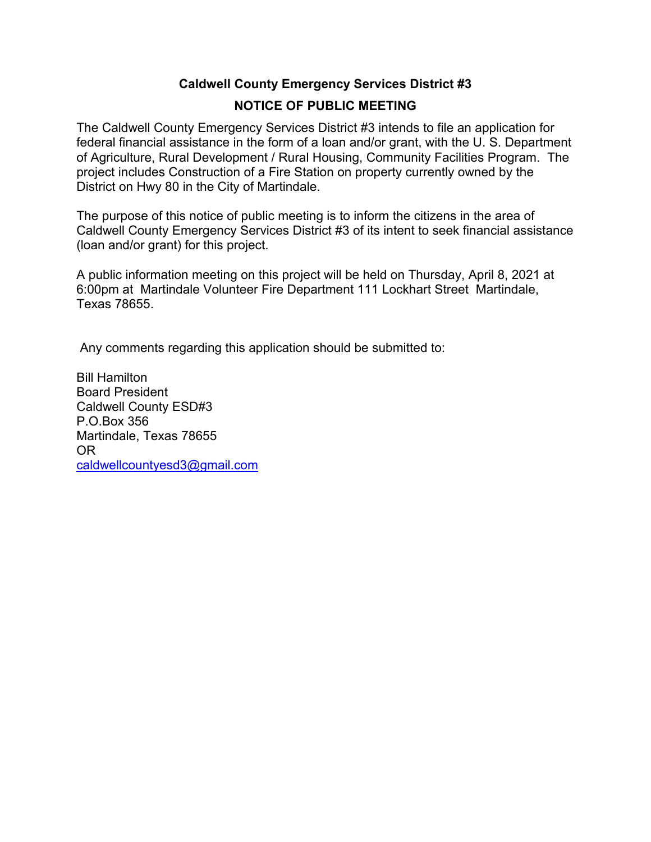# **Caldwell County Emergency Services District #3 NOTICE OF PUBLIC MEETING**

The Caldwell County Emergency Services District #3 intends to file an application for federal financial assistance in the form of a loan and/or grant, with the U. S. Department of Agriculture, Rural Development / Rural Housing, Community Facilities Program. The project includes Construction of a Fire Station on property currently owned by the District on Hwy 80 in the City of Martindale.

The purpose of this notice of public meeting is to inform the citizens in the area of Caldwell County Emergency Services District #3 of its intent to seek financial assistance (loan and/or grant) for this project.

A public information meeting on this project will be held on Thursday, April 8, 2021 at 6:00pm at Martindale Volunteer Fire Department 111 Lockhart Street Martindale, Texas 78655.

Any comments regarding this application should be submitted to:

Bill Hamilton Board President Caldwell County ESD#3 P.O.Box 356 Martindale, Texas 78655 OR caldwellcountyesd3@gmail.com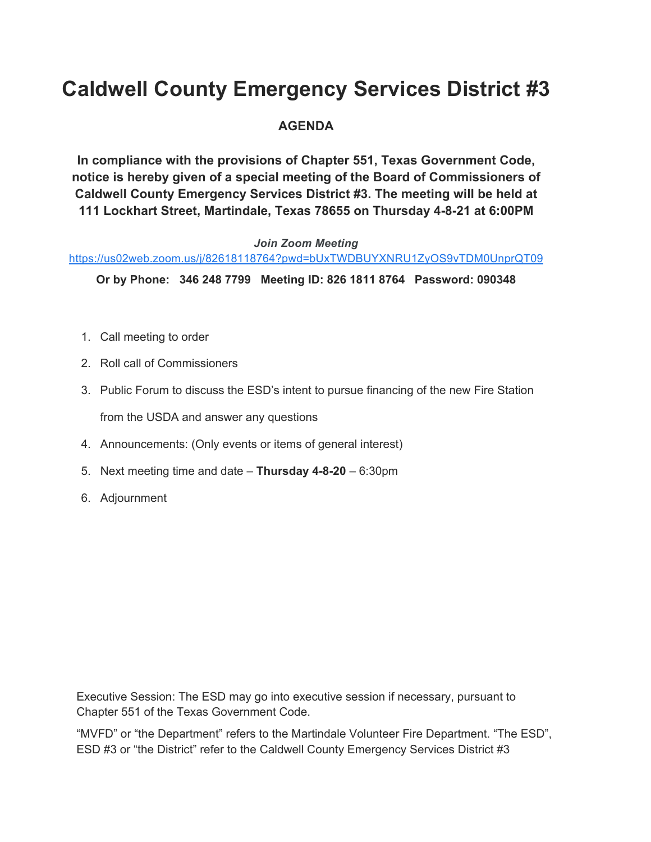# **Caldwell County Emergency Services District #3**

# **AGENDA**

**In compliance with the provisions of Chapter 551, Texas Government Code, notice is hereby given of a special meeting of the Board of Commissioners of Caldwell County Emergency Services District #3. The meeting will be held at 111 Lockhart Street, Martindale, Texas 78655 on Thursday 4-8-21 at 6:00PM** 

#### *Join Zoom Meeting*

#### https://us02web.zoom.us/j/82618118764?pwd=bUxTWDBUYXNRU1ZyOS9vTDM0UnprQT09

**Or by Phone: 346 248 7799 Meeting ID: 826 1811 8764 Password: 090348** 

- 1. Call meeting to order
- 2. Roll call of Commissioners
- 3. Public Forum to discuss the ESD's intent to pursue financing of the new Fire Station from the USDA and answer any questions
- 4. Announcements: (Only events or items of general interest)
- 5. Next meeting time and date **Thursday 4-8-20** 6:30pm
- 6. Adjournment

Executive Session: The ESD may go into executive session if necessary, pursuant to Chapter 551 of the Texas Government Code.

"MVFD" or "the Department" refers to the Martindale Volunteer Fire Department. "The ESD", ESD #3 or "the District" refer to the Caldwell County Emergency Services District #3